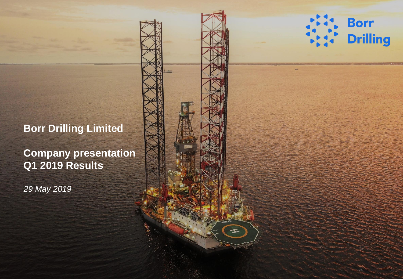# **Borr Drilling Limited**

**Company presentation Q1 2019 Results**

*29 May 2019*

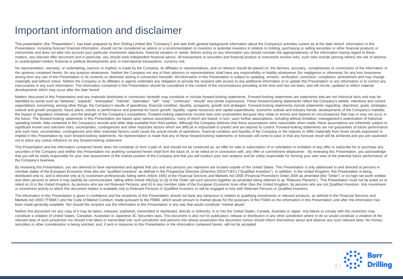### Important information and disclaimer

This presentation (the "Presentation") has been prepared by Borr Drilling Limited (the "Company") and sets forth general background information about the Company's activities current as at the date hereof. Information in t Presentation, including forecast financial information, should not be considered as advice or a recommendation to investors or potential investors in relation to holding, purchasing or selling securities or other financial instruments and does not take into account your particular investment objectives, financial situation or needs. Before acting on any information you should consider the appropriateness of the information having regard to t matters, any relevant offer document and in particular, you should seek independent financial advice. All transactions in securities and financial product or instrument involve risks, such risks include (among others) the or unanticipated market, financial or political developments and, in international transactions, currency risk.

No representation, warranty, or undertaking, express or implied, is made by the Company, its affiliates or representatives, and no reliance should be placed on, the fairness, accuracy, completeness or correctness of the in the opinions contained herein, for any purpose whatsoever. Neither the Company nor any of their advisors or representatives shall have any responsibility or liability whatsoever (for negligence or otherwise) for any loss h arising from any use of this Presentation or its contents or otherwise arising in connection herewith. All information in this Presentation is subject to updating, revision, verification, correction, completion, amendment materially and without notice. Neither the Company or its affiliates or agents undertake any obligation to provide the recipient with access to any additional information or to update this Presentation or any information o inaccuracies in any such information. The information contained in this Presentation should be considered in the context of the circumstances prevailing at the time and has not been, and will not be, updated to reflect mat developments which may occur after the date hereof.

Matters discussed in this Presentation and any materials distributed in connection herewith may constitute or include forward-looking statements. Forward-looking statements are statements that are not historical facts and identified by words such as "believes", "expects", "anticipates", "intends", "estimates", "will", "may", "continues", "should" and similar expressions. These forward-looking statements reflect the Company's beliefs, intent expectations concerning, among other things, the Company's results of operations, financial condition, liquidity, prospects, growth and strategies. Forward-looking statements include statements regarding: objectives, goals outlook and growth prospects; future plans, events or performance and potential for future growth; liquidity, capital resources and capital expenditures; economic outlook and industry trends; developments of the Company's the impact of regulatory initiatives: and the strength of the Company's competitors. Forward-looking statements involve risks and uncertainties because they relate to events and depend on circumstances that may or may not the future. The forward-looking statements in this Presentation are based upon various assumptions, many of which are based, in turn, upon further assumptions, including without limitation, management's examination of hist operating trends, data contained in the Company's records and other data available from third parties. Although the Company believes that these assumptions were reasonable when made, these assumptions are inherently subjec significant known and unknown risks, uncertainties, contingencies and other important factors which are difficult or impossible to predict and are bevond its control. Forward-looking statements are not quarantees of future and such risks, uncertainties, contingencies and other important factors could cause the actual results of operations, financial condition and liguidity of the Company or the industry to differ materially from those result implied in this Presentation by such forward-looking statements. No representation is made that any of these forward-looking statements or forecasts will come to pass or that any forecast result will be achieved and you ar not to place any undue influence on any forward-looking statement.

This Presentation and the information contained herein does not constitute or form a part of, and should not be construed as, an offer for sale or subscription of or solicitation or invitation of any offer to subscribe for securities of the Company and neither this Presentation nor anything contained herein shall form the basis of, or be relied on in connection with, any offer or commitment whatsoever. By reviewing this Presentation, you ack that you will be solely responsible for your own assessment of the market position of the Company and that you will conduct your own analysis and be solely responsible for forming your own view of the potential future perf the Company's business.

By reviewing this Presentation, you are deemed to have represented and agreed that you and any persons you represent are located outside of the United States. This Presentation is only addressed to and directed at persons member states of the European Economic Area who are "qualified investors" as defined in the Prospectus Directive (Directive 2003/71/EC) ("Qualified Investors"). In addition, in the United Kingdom, this Presentation is bein distributed only to, and is directed only at (i) investment professionals falling within Article 19(5) of the Financial Services and Markets Act 2000 (Financial Promotion) Order 2005 as amended (the "Order") or (ii) high n and other persons to whom it may lawfully be communicated, falling within Article 49(2)(a) to (d) of the Order (all such persons together as amended being referred to as "Relevant Persons"). This Presentation must not be a relied on (i) in the United Kingdom, by persons who are not Relevant Persons, and (ii) in any member state of the European Economic Area other than the United Kingdom, by persons who are not Qualified Investors. Any invest or investment activity to which this document relates is available only to Relevant Persons or Qualified Investors or will be engaged in only with Relevant Persons or Qualified Investors.

The information in this Presentation is given in confidence and the recipients of this Presentation should not base any behaviour in relation to qualifying investments or relevant products, as defined in the Financial Serv Markets Act 2000 ("FSMA") and the Code of Market Conduct, made pursuant to the FSMA, which would amount to market abuse for the purposes of the FSMA on the information in this Presentation until after the information has been made generally available. Nor should the recipient use the information in this Presentation in any way that would constitute "market abuse".

Neither this document nor any copy of it may be taken, released, published, transmitted or distributed, directly or indirectly, in or into the United States, Canada, Australia or Japan. Any failure to comply with this rest constitute a violation of United States, Canadian, Australian or Japanese 4C Securities laws. This document is also not for publication, release or distribution in any other jurisdiction where to do so would constitute a v relevant laws of such jurisdiction nor should it be taken or transmitted into such jurisdiction and persons into whose possession this document comes should inform themselves about and observe any such relevant laws. No mo securities or other consideration is being solicited, and, if sent in response to this Presentation or the information contained herein, will not be accepted.

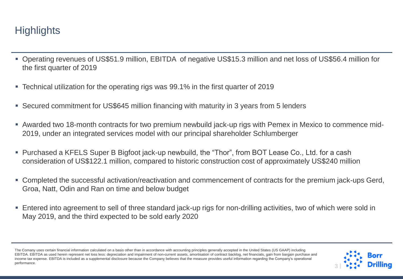### **Highlights**

- Operating revenues of US\$51.9 million, EBITDA of negative US\$15.3 million and net loss of US\$56.4 million for the first quarter of 2019
- Technical utilization for the operating rigs was 99.1% in the first quarter of 2019
- Secured commitment for US\$645 million financing with maturity in 3 years from 5 lenders
- Awarded two 18-month contracts for two premium newbuild jack-up rigs with Pemex in Mexico to commence mid-2019, under an integrated services model with our principal shareholder Schlumberger
- Purchased a KFELS Super B Bigfoot jack-up newbuild, the "Thor", from BOT Lease Co., Ltd. for a cash consideration of US\$122.1 million, compared to historic construction cost of approximately US\$240 million
- Completed the successful activation/reactivation and commencement of contracts for the premium jack-ups Gerd, Groa, Natt, Odin and Ran on time and below budget
- Entered into agreement to sell of three standard jack-up rigs for non-drilling activities, two of which were sold in May 2019, and the third expected to be sold early 2020

The Comany uses certain financial information calculated on a basis other than in accordance with accounting principles generally accepted in the United States (US GAAP) including EBITDA. EBITDA as used herein represent net loss less: depreciation and impairment of non-current assets, amortisation of contract backlog, net financials, gain from bargain purchase and income tax expense. EBITDA is included as a supplemental disclosure because the Company believes that the measure provides useful information regarding the Company's operational performance.

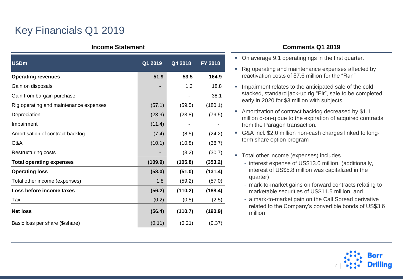## Key Financials Q1 2019

#### **Income Statement**

| <b>USDm</b>                            | Q1 2019 | Q4 2018 | FY 2018 |
|----------------------------------------|---------|---------|---------|
| <b>Operating revenues</b>              | 51.9    | 53.5    | 164.9   |
| Gain on disposals                      |         | 1.3     | 18.8    |
| Gain from bargain purchase             |         |         | 38.1    |
| Rig operating and maintenance expenses | (57.1)  | (59.5)  | (180.1) |
| Depreciation                           | (23.9)  | (23.8)  | (79.5)  |
| Impairment                             | (11.4)  |         |         |
| Amortisation of contract backlog       | (7.4)   | (8.5)   | (24.2)  |
| G&A                                    | (10.1)  | (10.8)  | (38.7)  |
| <b>Restructuring costs</b>             |         | (3.2)   | (30.7)  |
| <b>Total operating expenses</b>        | (109.9) | (105.8) | (353.2) |
| <b>Operating loss</b>                  | (58.0)  | (51.0)  | (131.4) |
| Total other income (expenses)          | 1.8     | (59.2)  | (57.0)  |
| Loss before income taxes               | (56.2)  | (110.2) | (188.4) |
| Tax                                    | (0.2)   | (0.5)   | (2.5)   |
| <b>Net loss</b>                        | (56.4)  | (110.7) | (190.9) |
| Basic loss per share (\$/share)        | (0.11)  | (0.21)  | (0.37)  |

#### **Comments Q1 2019**

- On average 9.1 operating rigs in the first quarter. ■ Rig operating and maintenance expenses affected by reactivation costs of \$7.6 million for the "Ran" **.** Impairment relates to the anticipated sale of the cold stacked, standard jack-up rig "Eir", sale to be completed early in 2020 for \$3 million with subjects. ■ Amortization of contract backlog decreased by \$1.1 million q-on-q due to the expiration of acquired contracts from the Paragon transaction. ▪ G&A incl. \$2.0 million non-cash charges linked to longterm share option program
- Total other income (expenses) includes
	- interest expense of US\$13.0 million. (additionally, interest of US\$5.8 million was capitalized in the quarter)
	- mark-to-market gains on forward contracts relating to marketable securities of US\$11.5 million, and
	- a mark-to-market gain on the Call Spread derivative related to the Company's convertible bonds of US\$3.6 million

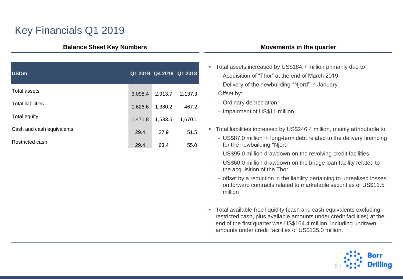### Key Financials Q1 2019

#### **Balance Sheet Key Numbers**

| <b>USDm</b>               |         | Q1 2019 Q4 2018 Q1 2018 |         |
|---------------------------|---------|-------------------------|---------|
| Total assets              | 3.098.4 | 2.913.7                 | 2,137.3 |
| <b>Total liabilities</b>  | 1,626.6 | 1,380.2                 | 467.2   |
| Total equity              | 1,471.8 | 1,533.5                 | 1,670.1 |
| Cash and cash equivalents | 29.4    | 27.9                    | 51.5    |
| Restricted cash           | 29.4    | 63.4                    | 55.0    |

#### **Movements in the quarter**

- **Total assets increased by US\$184.7 million primarily due to** 
	- Acquisition of "Thor" at the end of March 2019
	- Delivery of the newbuilding "Njord" in January

Offset by:

- Ordinary depreciation
- Impairment of US\$11 million
- Total liabilities increased by US\$246.4 million, mainly attributable to
	- US\$87.0 million in long-term debt related to the delivery financing for the newbuilding "Njord"
	- US\$95.0 million drawdown on the revolving credit facilities
	- US\$60.0 million drawdown on the bridge loan facility related to the acquisition of the Thor
	- offset by a reduction in the liability pertaining to unrealised losses on forward contracts related to marketable securities of US\$11.5 million
- Total available free liquidity (cash and cash equivalents excluding restricted cash, plus available amounts under credit facilities) at the end of the first quarter was US\$164.4 million, including undrawn amounts under credit facilities of US\$135.0 million.

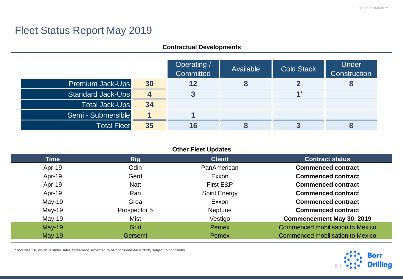### Fleet Status Report May 2019

#### **Contractual Developments**

|                          |    | Operating /<br>Committed | Available | <b>Cold Stack</b> | <b>Under</b><br>Construction |
|--------------------------|----|--------------------------|-----------|-------------------|------------------------------|
| <b>Premium Jack-Ups</b>  | 30 | 12                       |           |                   |                              |
| <b>Standard Jack-Ups</b> |    |                          |           | $4*$              |                              |
| <b>Total Jack-Ups</b>    | 34 |                          |           |                   |                              |
| Semi - Submersible       |    |                          |           |                   |                              |
| <b>Total Fleet</b>       | 35 | 16                       |           |                   |                              |

#### **Other Fleet Updates**

| <b>Time</b> | <b>Rig</b>   | <b>Client</b>        | <b>Contract status</b>                  |
|-------------|--------------|----------------------|-----------------------------------------|
| Apr-19      | Odin         | PanAmerican          | <b>Commenced contract</b>               |
| Apr-19      | Gerd         | Exxon                | <b>Commenced contract</b>               |
| Apr-19      | <b>Natt</b>  | First E&P            | <b>Commenced contract</b>               |
| Apr-19      | Ran          | <b>Spirit Energy</b> | <b>Commenced contract</b>               |
| $May-19$    | Groa         | Exxon                | <b>Commenced contract</b>               |
| $May-19$    | Prospector 5 | <b>Neptune</b>       | <b>Commenced contract</b>               |
| $May-19$    | <b>Mist</b>  | Vestigo              | <b>Commencement May 30, 2019</b>        |
| $May-19$    | Grid         | Pemex                | <b>Commenced mobilisation to Mexico</b> |
| $May-19$    | Gersemi      | Pemex                | <b>Commenced mobilisation to Mexico</b> |

\* Includes Eir, which is under sales agreement, expected to be concluded early 2020, subject to conditions

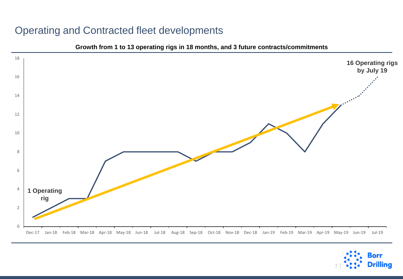### Operating and Contracted fleet developments



**Growth from 1 to 13 operating rigs in 18 months, and 3 future contracts/commitments**

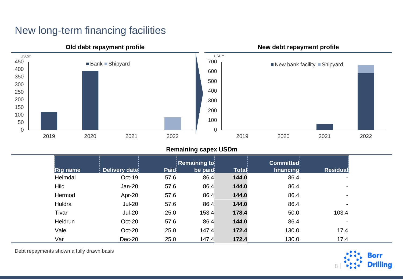### New long-term financing facilities



#### **Remaining capex USDm**

|                 |               |      | <b>Remaining to</b> |       | <b>Committed</b> |                 |
|-----------------|---------------|------|---------------------|-------|------------------|-----------------|
| <b>Rig name</b> | Delivery date | Paid | be paid             | Total | financing        | <b>Residual</b> |
| Heimdal         | Oct-19        | 57.6 | 86.4                | 144.0 | 86.4             | ۰               |
| Hild            | Jan-20        | 57.6 | 86.4                | 144.0 | 86.4             |                 |
| Hermod          | Apr-20        | 57.6 | 86.4                | 144.0 | 86.4             |                 |
| Huldra          | <b>Jul-20</b> | 57.6 | 86.4                | 144.0 | 86.4             |                 |
| Tivar           | <b>Jul-20</b> | 25.0 | 153.4               | 178.4 | 50.0             | 103.4           |
| Heidrun         | Oct-20        | 57.6 | 86.4                | 144.0 | 86.4             |                 |
| Vale            | Oct-20        | 25.0 | 147.4               | 172.4 | 130.0            | 17.4            |
| Var             | $Dec-20$      | 25.0 | 147.4               | 172.4 | 130.0            | 17.4            |

Debt repayments shown a fully drawn basis

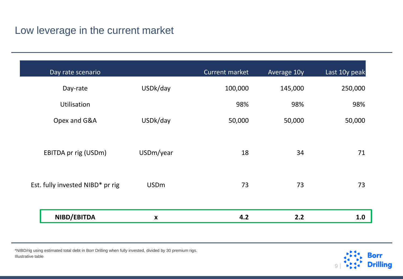### Low leverage in the current market

| Day rate scenario                |                    | Current market | Average 10y | Last 10y peak |
|----------------------------------|--------------------|----------------|-------------|---------------|
| Day-rate                         | USDk/day           | 100,000        | 145,000     | 250,000       |
| <b>Utilisation</b>               |                    | 98%            | 98%         | 98%           |
| Opex and G&A                     | USDk/day           | 50,000         | 50,000      | 50,000        |
|                                  |                    |                |             |               |
| EBITDA pr rig (USDm)             | USDm/year          | 18             | 34          | 71            |
|                                  |                    |                |             |               |
| Est. fully invested NIBD* pr rig | <b>USDm</b>        | 73             | 73          | 73            |
|                                  |                    |                |             |               |
| NIBD/EBITDA                      | $\pmb{\mathsf{X}}$ | 4.2            | 2.2         | 1.0           |

\*NIBD/rig using estimated total debt in Borr Drilling when fully invested, divided by 30 premium rigs. Illustrative table

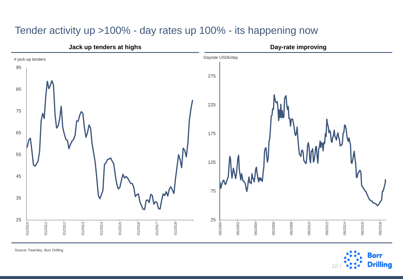### Tender activity up >100% - day rates up 100% - its happening now



Source: Fearnley, Borr Drilling

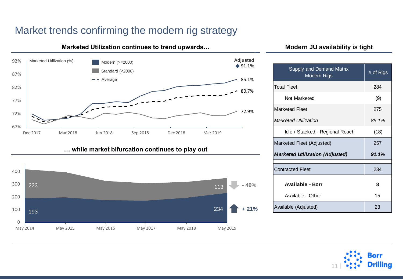### Market trends confirming the modern rig strategy

#### 80.7% 85.1% 72.9% 67% 72% 77% 82% 87% 92% Dec 2017 Mar 2018 Jun 2018 Sep 2018 Dec 2018 Mar 2019 ◆ 91.1% Marketed Utilization (%) **Adjusted** Modern (>=2000) **Adjusted** Modern (>=2000) Standard (<2000) Average





### **Marketed Utilization continues to trend upwards...** Modern JU availability is tight

| Supply and Demand Matrix<br><b>Modern Rigs</b> | # of Rigs |
|------------------------------------------------|-----------|
| <b>Total Fleet</b>                             | 284       |
| Not Marketed                                   | (9)       |
| <b>Marketed Fleet</b>                          | 275       |
| Marketed Utilization                           | 85.1%     |
| Idle / Stacked - Regional Reach                | (18)      |
| Marketed Fleet (Adjusted)                      | 257       |
| <b>Marketed Utilization (Adjusted)</b>         | 91.1%     |
| <b>Contracted Fleet</b>                        | 234       |
| <b>Available - Borr</b>                        | 8         |
| Available - Other                              | 15        |
| Available (Adjusted)                           | 23        |

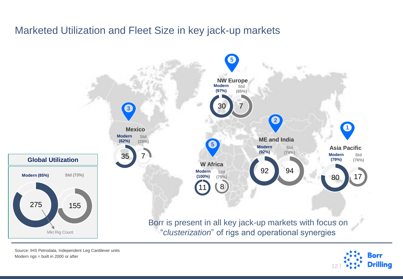### Marketed Utilization and Fleet Size in key jack-up markets



Source: IHS Petrodata, Independent Leg Cantilever units Modern rigs = built in 2000 or after

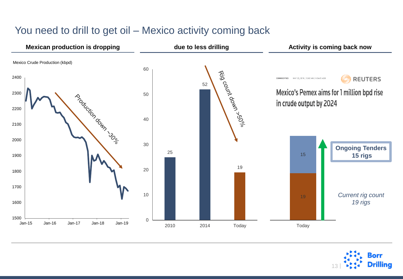

### You need to drill to get oil – Mexico activity coming back

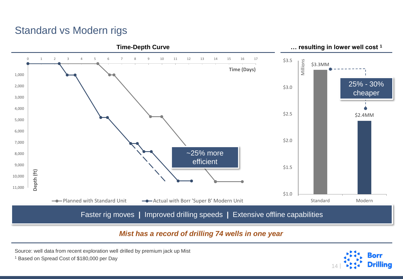### Standard vs Modern rigs



### *Mist has a record of drilling 74 wells in one year*

Source: well data from recent exploration well drilled by premium jack up Mist

<sup>1</sup> Based on Spread Cost of \$180,000 per Day

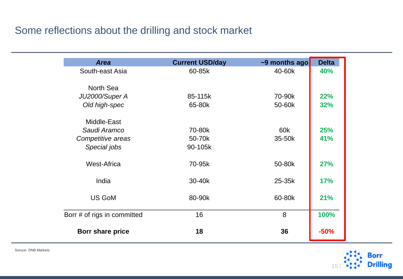### Some reflections about the drilling and stock market

| <b>Area</b>                 | <b>Current USD/day</b> | $\sim$ 9 months ago | <b>Delta</b> |
|-----------------------------|------------------------|---------------------|--------------|
| South-east Asia             | 60-85k                 | 40-60k              | 40%          |
| North Sea                   |                        |                     |              |
| JU2000/Super A              | 85-115k                | 70-90k              | <b>22%</b>   |
| Old high-spec               | 65-80k                 | 50-60k              | 32%          |
| Middle-East                 |                        |                     |              |
| Saudi Aramco                | 70-80k                 | 60k                 | 25%          |
| Competitive areas           | 50-70k                 | 35-50k              | 41%          |
| Special jobs                | 90-105k                |                     |              |
| <b>West-Africa</b>          | 70-95k                 | 50-80k              | <b>27%</b>   |
| India                       | 30-40k                 | 25-35k              | <b>17%</b>   |
| <b>US GoM</b>               | 80-90k                 | 60-80k              | 21%          |
| Borr # of rigs in committed | 16                     | 8                   | 100%         |
| Borr share price            | 18                     | 36                  | $-50%$       |

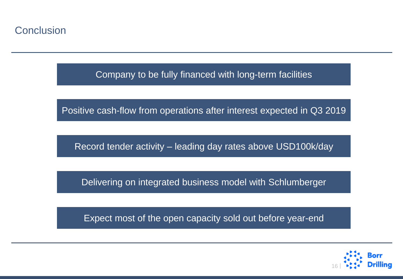### **Conclusion**

Company to be fully financed with long-term facilities

Positive cash-flow from operations after interest expected in Q3 2019

Record tender activity – leading day rates above USD100k/day

Delivering on integrated business model with Schlumberger

Expect most of the open capacity sold out before year-end